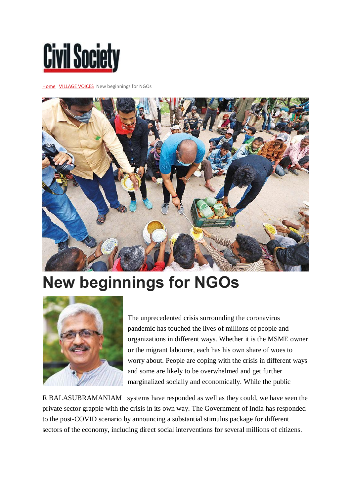## **Civil Society**

[Home](https://civilsocietyonline.com/) [VILLAGE VOICES](https://civilsocietyonline.com/column/village-voices/) New beginnings for NGOs



## **New beginnings for NGOs**



The unprecedented crisis surrounding the coronavirus pandemic has touched the lives of millions of people and organizations in different ways. Whether it is the MSME owner or the migrant labourer, each has his own share of woes to worry about. People are coping with the crisis in different ways and some are likely to be overwhelmed and get further marginalized socially and economically. While the public

R BALASUBRAMANIAM systems have responded as well as they could, we have seen the private sector grapple with the crisis in its own way. The Government of India has responded to the post-COVID scenario by announcing a substantial stimulus package for different sectors of the economy, including direct social interventions for several millions of citizens.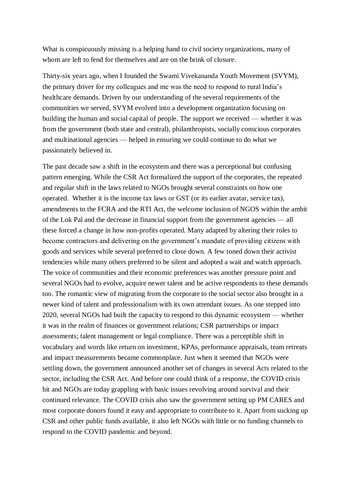What is conspicuously missing is a helping hand to civil society organizations, many of whom are left to fend for themselves and are on the brink of closure.

Thirty-six years ago, when I founded the Swami Vivekananda Youth Movement (SVYM), the primary driver for my colleagues and me was the need to respond to rural India's healthcare demands. Driven by our understanding of the several requirements of the communities we served, SVYM evolved into a development organization focusing on building the human and social capital of people. The support we received — whether it was from the government (both state and central), philanthropists, socially conscious corporates and multinational agencies — helped in ensuring we could continue to do what we passionately believed in.

The past decade saw a shift in the ecosystem and there was a perceptional but confusing pattern emerging. While the CSR Act formalized the support of the corporates, the repeated and regular shift in the laws related to NGOs brought several constraints on how one operated. Whether it is the income tax laws or GST (or its earlier avatar, service tax), amendments to the FCRA and the RTI Act, the welcome inclusion of NGOS within the ambit of the Lok Pal and the decrease in financial support from the government agencies — all these forced a change in how non-profits operated. Many adapted by altering their roles to become contractors and delivering on the government's mandate of providing citizens with goods and services while several preferred to close down. A few toned down their activist tendencies while many others preferred to be silent and adopted a wait and watch approach. The voice of communities and their economic preferences was another pressure point and several NGOs had to evolve, acquire newer talent and be active respondents to these demands too. The romantic view of migrating from the corporate to the social sector also brought in a newer kind of talent and professionalism with its own attendant issues. As one stepped into 2020, several NGOs had built the capacity to respond to this dynamic ecosystem — whether it was in the realm of finances or government relations; CSR partnerships or impact assessments; talent management or legal compliance. There was a perceptible shift in vocabulary and words like return on investment, KPAs, performance appraisals, team retreats and impact measurements became commonplace. Just when it seemed that NGOs were settling down, the government announced another set of changes in several Acts related to the sector, including the CSR Act. And before one could think of a response, the COVID crisis hit and NGOs are today grappling with basic issues revolving around survival and their continued relevance. The COVID crisis also saw the government setting up PM CARES and most corporate donors found it easy and appropriate to contribute to it. Apart from sucking up CSR and other public funds available, it also left NGOs with little or no funding channels to respond to the COVID pandemic and beyond.